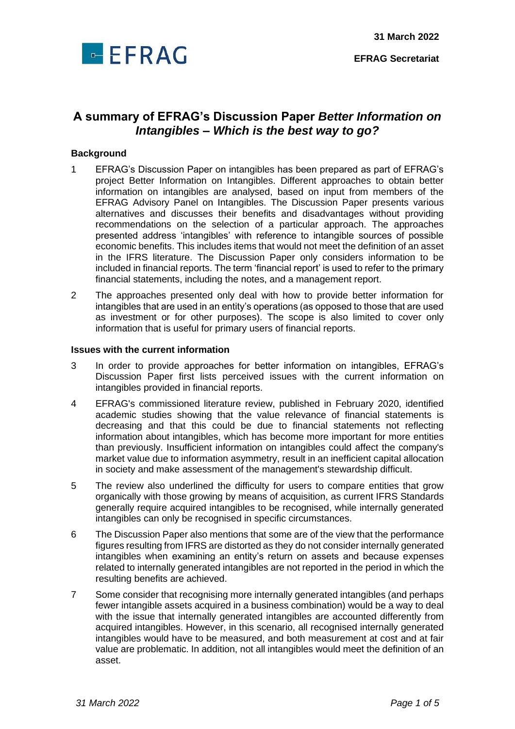

**EFRAG Secretariat**

# **A summary of EFRAG's Discussion Paper** *Better Information on Intangibles – Which is the best way to go?*

#### **Background**

- 1 EFRAG's Discussion Paper on intangibles has been prepared as part of EFRAG's project Better Information on Intangibles. Different approaches to obtain better information on intangibles are analysed, based on input from members of the EFRAG Advisory Panel on Intangibles. The Discussion Paper presents various alternatives and discusses their benefits and disadvantages without providing recommendations on the selection of a particular approach. The approaches presented address 'intangibles' with reference to intangible sources of possible economic benefits. This includes items that would not meet the definition of an asset in the IFRS literature. The Discussion Paper only considers information to be included in financial reports. The term 'financial report' is used to refer to the primary financial statements, including the notes, and a management report.
- 2 The approaches presented only deal with how to provide better information for intangibles that are used in an entity's operations (as opposed to those that are used as investment or for other purposes). The scope is also limited to cover only information that is useful for primary users of financial reports.

#### **Issues with the current information**

- 3 In order to provide approaches for better information on intangibles, EFRAG's Discussion Paper first lists perceived issues with the current information on intangibles provided in financial reports.
- 4 EFRAG's commissioned literature review, published in February 2020, identified academic studies showing that the value relevance of financial statements is decreasing and that this could be due to financial statements not reflecting information about intangibles, which has become more important for more entities than previously. Insufficient information on intangibles could affect the company's market value due to information asymmetry, result in an inefficient capital allocation in society and make assessment of the management's stewardship difficult.
- 5 The review also underlined the difficulty for users to compare entities that grow organically with those growing by means of acquisition, as current IFRS Standards generally require acquired intangibles to be recognised, while internally generated intangibles can only be recognised in specific circumstances.
- 6 The Discussion Paper also mentions that some are of the view that the performance figures resulting from IFRS are distorted as they do not consider internally generated intangibles when examining an entity's return on assets and because expenses related to internally generated intangibles are not reported in the period in which the resulting benefits are achieved.
- 7 Some consider that recognising more internally generated intangibles (and perhaps fewer intangible assets acquired in a business combination) would be a way to deal with the issue that internally generated intangibles are accounted differently from acquired intangibles. However, in this scenario, all recognised internally generated intangibles would have to be measured, and both measurement at cost and at fair value are problematic. In addition, not all intangibles would meet the definition of an asset.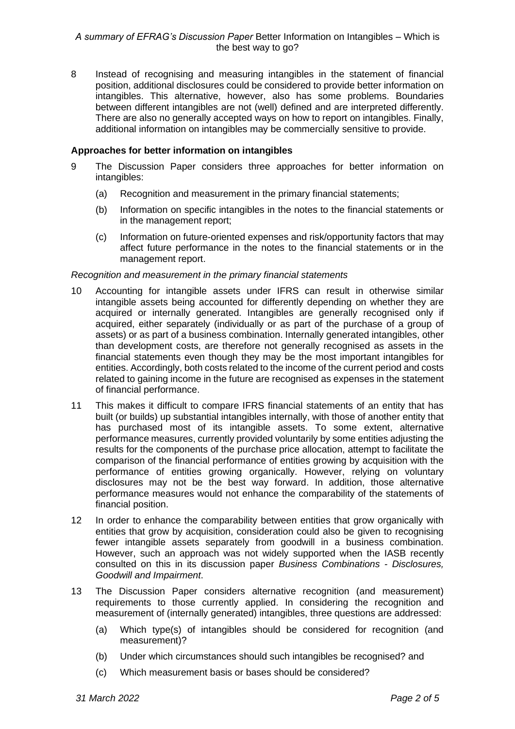8 Instead of recognising and measuring intangibles in the statement of financial position, additional disclosures could be considered to provide better information on intangibles. This alternative, however, also has some problems. Boundaries between different intangibles are not (well) defined and are interpreted differently. There are also no generally accepted ways on how to report on intangibles. Finally, additional information on intangibles may be commercially sensitive to provide.

## **Approaches for better information on intangibles**

- 9 The Discussion Paper considers three approaches for better information on intangibles:
	- (a) Recognition and measurement in the primary financial statements;
	- (b) Information on specific intangibles in the notes to the financial statements or in the management report;
	- (c) Information on future-oriented expenses and risk/opportunity factors that may affect future performance in the notes to the financial statements or in the management report.

## *Recognition and measurement in the primary financial statements*

- 10 Accounting for intangible assets under IFRS can result in otherwise similar intangible assets being accounted for differently depending on whether they are acquired or internally generated. Intangibles are generally recognised only if acquired, either separately (individually or as part of the purchase of a group of assets) or as part of a business combination. Internally generated intangibles, other than development costs, are therefore not generally recognised as assets in the financial statements even though they may be the most important intangibles for entities. Accordingly, both costs related to the income of the current period and costs related to gaining income in the future are recognised as expenses in the statement of financial performance.
- 11 This makes it difficult to compare IFRS financial statements of an entity that has built (or builds) up substantial intangibles internally, with those of another entity that has purchased most of its intangible assets. To some extent, alternative performance measures, currently provided voluntarily by some entities adjusting the results for the components of the purchase price allocation, attempt to facilitate the comparison of the financial performance of entities growing by acquisition with the performance of entities growing organically. However, relying on voluntary disclosures may not be the best way forward. In addition, those alternative performance measures would not enhance the comparability of the statements of financial position.
- 12 In order to enhance the comparability between entities that grow organically with entities that grow by acquisition, consideration could also be given to recognising fewer intangible assets separately from goodwill in a business combination. However, such an approach was not widely supported when the IASB recently consulted on this in its discussion paper *Business Combinations - Disclosures, Goodwill and Impairment*.
- 13 The Discussion Paper considers alternative recognition (and measurement) requirements to those currently applied. In considering the recognition and measurement of (internally generated) intangibles, three questions are addressed:
	- (a) Which type(s) of intangibles should be considered for recognition (and measurement)?
	- (b) Under which circumstances should such intangibles be recognised? and
	- (c) Which measurement basis or bases should be considered?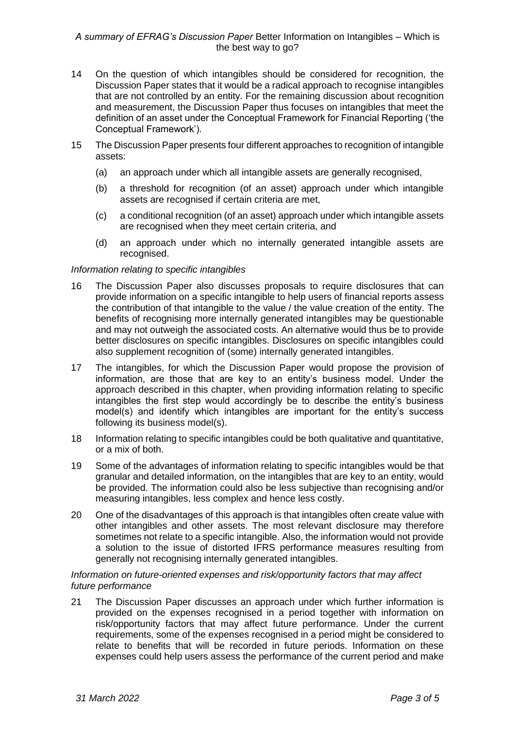- 14 On the question of which intangibles should be considered for recognition, the Discussion Paper states that it would be a radical approach to recognise intangibles that are not controlled by an entity. For the remaining discussion about recognition and measurement, the Discussion Paper thus focuses on intangibles that meet the definition of an asset under the Conceptual Framework for Financial Reporting ('the Conceptual Framework').
- 15 The Discussion Paper presents four different approaches to recognition of intangible assets:
	- (a) an approach under which all intangible assets are generally recognised,
	- (b) a threshold for recognition (of an asset) approach under which intangible assets are recognised if certain criteria are met,
	- (c) a conditional recognition (of an asset) approach under which intangible assets are recognised when they meet certain criteria, and
	- (d) an approach under which no internally generated intangible assets are recognised.

#### *Information relating to specific intangibles*

- 16 The Discussion Paper also discusses proposals to require disclosures that can provide information on a specific intangible to help users of financial reports assess the contribution of that intangible to the value / the value creation of the entity. The benefits of recognising more internally generated intangibles may be questionable and may not outweigh the associated costs. An alternative would thus be to provide better disclosures on specific intangibles. Disclosures on specific intangibles could also supplement recognition of (some) internally generated intangibles.
- 17 The intangibles, for which the Discussion Paper would propose the provision of information, are those that are key to an entity's business model. Under the approach described in this chapter, when providing information relating to specific intangibles the first step would accordingly be to describe the entity's business model(s) and identify which intangibles are important for the entity's success following its business model(s).
- 18 Information relating to specific intangibles could be both qualitative and quantitative, or a mix of both.
- 19 Some of the advantages of information relating to specific intangibles would be that granular and detailed information, on the intangibles that are key to an entity, would be provided. The information could also be less subjective than recognising and/or measuring intangibles, less complex and hence less costly.
- 20 One of the disadvantages of this approach is that intangibles often create value with other intangibles and other assets. The most relevant disclosure may therefore sometimes not relate to a specific intangible. Also, the information would not provide a solution to the issue of distorted IFRS performance measures resulting from generally not recognising internally generated intangibles.

## *Information on future-oriented expenses and risk/opportunity factors that may affect future performance*

21 The Discussion Paper discusses an approach under which further information is provided on the expenses recognised in a period together with information on risk/opportunity factors that may affect future performance. Under the current requirements, some of the expenses recognised in a period might be considered to relate to benefits that will be recorded in future periods. Information on these expenses could help users assess the performance of the current period and make